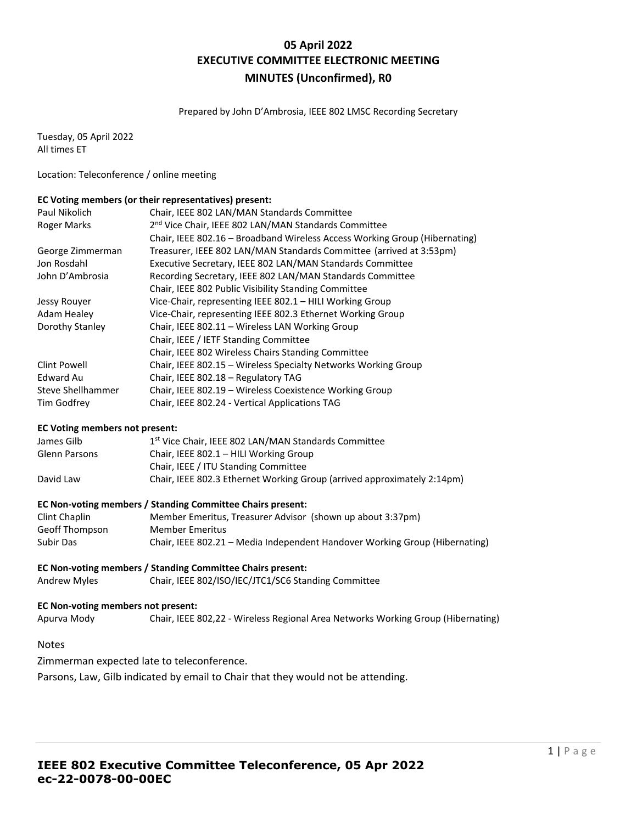## **05 April 2022 EXECUTIVE COMMITTEE ELECTRONIC MEETING MINUTES (Unconfirmed), R0**

Prepared by John D'Ambrosia, IEEE 802 LMSC Recording Secretary

Tuesday, 05 April 2022 All times ET

Location: Teleconference / online meeting

### **EC Voting members (or their representatives) present:**

| Paul Nikolich      | Chair, IEEE 802 LAN/MAN Standards Committee                                |
|--------------------|----------------------------------------------------------------------------|
| <b>Roger Marks</b> | 2 <sup>nd</sup> Vice Chair, IEEE 802 LAN/MAN Standards Committee           |
|                    | Chair, IEEE 802.16 - Broadband Wireless Access Working Group (Hibernating) |
| George Zimmerman   | Treasurer, IEEE 802 LAN/MAN Standards Committee (arrived at 3:53pm)        |
| Jon Rosdahl        | Executive Secretary, IEEE 802 LAN/MAN Standards Committee                  |
| John D'Ambrosia    | Recording Secretary, IEEE 802 LAN/MAN Standards Committee                  |
|                    | Chair, IEEE 802 Public Visibility Standing Committee                       |
| Jessy Rouyer       | Vice-Chair, representing IEEE 802.1 - HILI Working Group                   |
| Adam Healey        | Vice-Chair, representing IEEE 802.3 Ethernet Working Group                 |
| Dorothy Stanley    | Chair, IEEE 802.11 - Wireless LAN Working Group                            |
|                    | Chair, IEEE / IETF Standing Committee                                      |
|                    | Chair, IEEE 802 Wireless Chairs Standing Committee                         |
| Clint Powell       | Chair, IEEE 802.15 - Wireless Specialty Networks Working Group             |
| Edward Au          | Chair, IEEE 802.18 - Regulatory TAG                                        |
| Steve Shellhammer  | Chair, IEEE 802.19 - Wireless Coexistence Working Group                    |
| Tim Godfrey        | Chair, IEEE 802.24 - Vertical Applications TAG                             |

#### **EC Voting members not present:**

| James Gilb            | 1 <sup>st</sup> Vice Chair, IEEE 802 LAN/MAN Standards Committee            |
|-----------------------|-----------------------------------------------------------------------------|
| Glenn Parsons         | Chair, IEEE 802.1 - HILI Working Group                                      |
|                       | Chair, IEEE / ITU Standing Committee                                        |
| David Law             | Chair, IEEE 802.3 Ethernet Working Group (arrived approximately 2:14pm)     |
|                       | EC Non-voting members / Standing Committee Chairs present:                  |
| Clint Chaplin         | Member Emeritus, Treasurer Advisor (shown up about 3:37pm)                  |
| <b>Geoff Thompson</b> | <b>Member Emeritus</b>                                                      |
| Subir Das             | Chair, IEEE 802.21 - Media Independent Handover Working Group (Hibernating) |
|                       | EC Non-voting members / Standing Committee Chairs present:                  |

Andrew Myles Chair, IEEE 802/ISO/IEC/JTC1/SC6 Standing Committee

#### **EC Non-voting members not present:**

Apurva Mody Chair, IEEE 802,22 - Wireless Regional Area Networks Working Group (Hibernating)

### Notes

Zimmerman expected late to teleconference.

Parsons, Law, Gilb indicated by email to Chair that they would not be attending.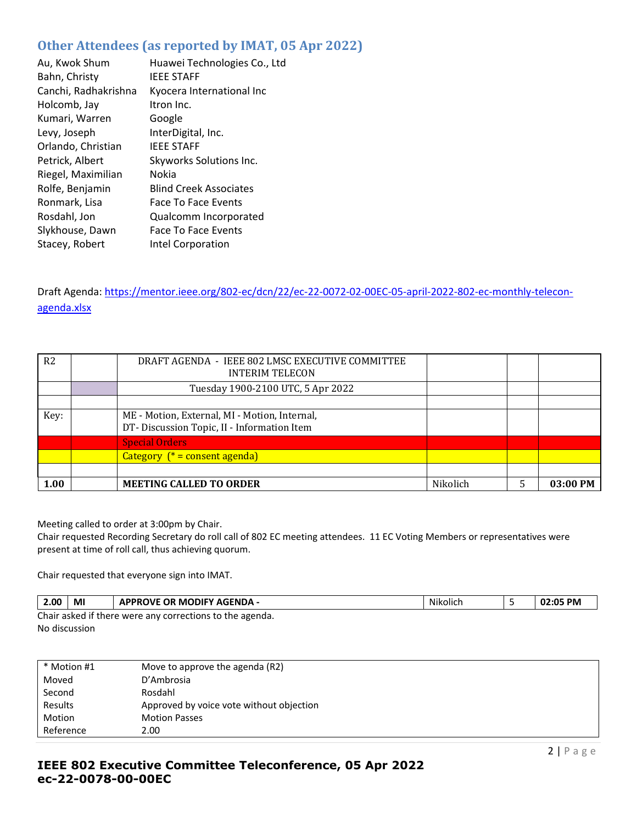# **Other Attendees (as reported by IMAT, 05 Apr 2022)**

| Au, Kwok Shum        | Huawei Technologies Co., Ltd  |
|----------------------|-------------------------------|
|                      |                               |
| Bahn, Christy        | <b>IEEE STAFF</b>             |
| Canchi, Radhakrishna | Kyocera International Inc     |
| Holcomb, Jay         | Itron Inc.                    |
| Kumari, Warren       | Google                        |
| Levy, Joseph         | InterDigital, Inc.            |
| Orlando, Christian   | <b>IEEE STAFF</b>             |
| Petrick, Albert      | Skyworks Solutions Inc.       |
| Riegel, Maximilian   | Nokia                         |
| Rolfe, Benjamin      | <b>Blind Creek Associates</b> |
| Ronmark, Lisa        | Face To Face Events           |
| Rosdahl, Jon         | Qualcomm Incorporated         |
| Slykhouse, Dawn      | <b>Face To Face Events</b>    |
| Stacey, Robert       | Intel Corporation             |

Draft Agenda: [https://mentor.ieee.org/802-ec/dcn/22/ec-22-0072-02-00EC-05-april-2022-802-ec-monthly-telecon](https://mentor.ieee.org/802-ec/dcn/22/ec-22-0072-02-00EC-05-april-2022-802-ec-monthly-telecon-agenda.xlsx)[agenda.xlsx](https://mentor.ieee.org/802-ec/dcn/22/ec-22-0072-02-00EC-05-april-2022-802-ec-monthly-telecon-agenda.xlsx)

| R <sub>2</sub> | DRAFT AGENDA - IEEE 802 LMSC EXECUTIVE COMMITTEE<br><b>INTERIM TELECON</b>                  |          |          |
|----------------|---------------------------------------------------------------------------------------------|----------|----------|
|                | Tuesday 1900-2100 UTC, 5 Apr 2022                                                           |          |          |
|                |                                                                                             |          |          |
| Key:           | ME - Motion, External, MI - Motion, Internal,<br>DT-Discussion Topic, II - Information Item |          |          |
|                | <b>Special Orders</b>                                                                       |          |          |
|                | Category $(* = constant \text{ agenda})$                                                    |          |          |
|                |                                                                                             |          |          |
| 1.00           | <b>MEETING CALLED TO ORDER</b>                                                              | Nikolich | 03:00 PM |

Meeting called to order at 3:00pm by Chair.

Chair requested Recording Secretary do roll call of 802 EC meeting attendees. 11 EC Voting Members or representatives were present at time of roll call, thus achieving quorum.

Chair requested that everyone sign into IMAT.

| 2.00                                                     | MI | <b>APPROVE OR MODIFY AGENDA -</b> | .<br>Nikolich |  | ገ2:05 PM |
|----------------------------------------------------------|----|-----------------------------------|---------------|--|----------|
| Chair asked if there were any corrections to the agenda. |    |                                   |               |  |          |

No discussion

| * Motion #1 | Move to approve the agenda (R2)          |
|-------------|------------------------------------------|
| Moved       | D'Ambrosia                               |
| Second      | Rosdahl                                  |
| Results     | Approved by voice vote without objection |
| Motion      | <b>Motion Passes</b>                     |
| Reference   | 2.00                                     |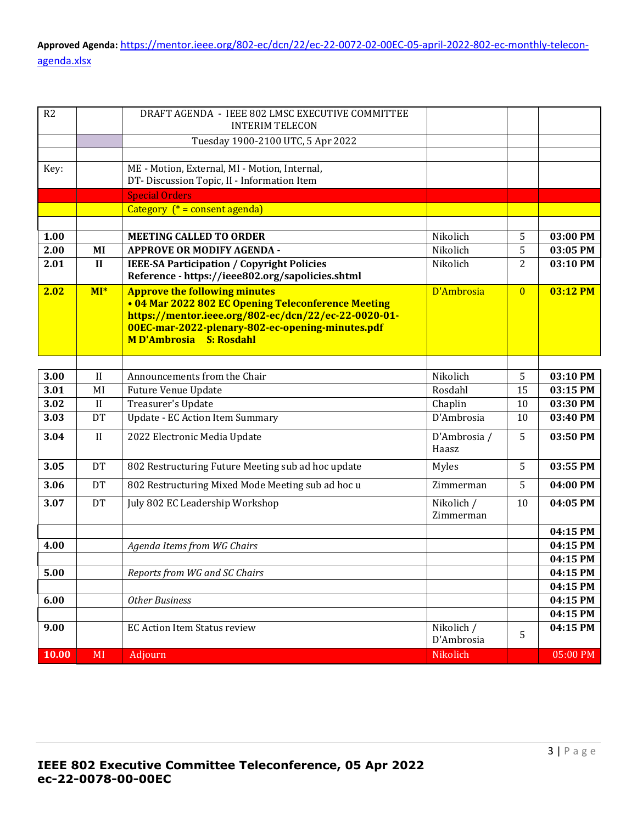| R2    |              | DRAFT AGENDA - IEEE 802 LMSC EXECUTIVE COMMITTEE<br><b>INTERIM TELECON</b>                  |              |                |          |
|-------|--------------|---------------------------------------------------------------------------------------------|--------------|----------------|----------|
|       |              | Tuesday 1900-2100 UTC, 5 Apr 2022                                                           |              |                |          |
|       |              |                                                                                             |              |                |          |
| Key:  |              | ME - Motion, External, MI - Motion, Internal,                                               |              |                |          |
|       |              | DT-Discussion Topic, II - Information Item                                                  |              |                |          |
|       |              | <b>Special Orders</b>                                                                       |              |                |          |
|       |              | Category (* = consent agenda)                                                               |              |                |          |
|       |              |                                                                                             |              |                |          |
| 1.00  |              | <b>MEETING CALLED TO ORDER</b>                                                              | Nikolich     | 5              | 03:00 PM |
| 2.00  | MI           | <b>APPROVE OR MODIFY AGENDA -</b>                                                           | Nikolich     | 5              | 03:05 PM |
| 2.01  | $\mathbf{I}$ | <b>IEEE-SA Participation / Copyright Policies</b>                                           | Nikolich     | $\overline{2}$ | 03:10 PM |
| 2.02  |              | Reference - https://ieee802.org/sapolicies.shtml                                            | D'Ambrosia   |                | 03:12 PM |
|       | $MI^*$       | <b>Approve the following minutes</b><br>• 04 Mar 2022 802 EC Opening Teleconference Meeting |              | $\overline{0}$ |          |
|       |              | https://mentor.ieee.org/802-ec/dcn/22/ec-22-0020-01-                                        |              |                |          |
|       |              | 00EC-mar-2022-plenary-802-ec-opening-minutes.pdf                                            |              |                |          |
|       |              | <b>MD'Ambrosia</b> S: Rosdahl                                                               |              |                |          |
|       |              |                                                                                             |              |                |          |
| 3.00  | II           | Announcements from the Chair                                                                | Nikolich     | 5              | 03:10 PM |
| 3.01  | MI           | <b>Future Venue Update</b>                                                                  | Rosdahl      | 15             | 03:15 PM |
| 3.02  | $\mathbf{I}$ | Treasurer's Update                                                                          | Chaplin      | 10             | 03:30 PM |
| 3.03  | <b>DT</b>    | <b>Update - EC Action Item Summary</b>                                                      | D'Ambrosia   | 10             | 03:40 PM |
| 3.04  | II           | 2022 Electronic Media Update                                                                | D'Ambrosia / | 5              | 03:50 PM |
|       |              |                                                                                             | Haasz        |                |          |
| 3.05  | DT           | 802 Restructuring Future Meeting sub ad hoc update                                          | Myles        | 5              | 03:55 PM |
| 3.06  | DT           | 802 Restructuring Mixed Mode Meeting sub ad hoc u                                           | Zimmerman    | 5              | 04:00 PM |
| 3.07  | DT           | July 802 EC Leadership Workshop                                                             | Nikolich /   | 10             | 04:05 PM |
|       |              |                                                                                             | Zimmerman    |                |          |
|       |              |                                                                                             |              |                | 04:15 PM |
| 4.00  |              | Agenda Items from WG Chairs                                                                 |              |                | 04:15 PM |
|       |              |                                                                                             |              |                | 04:15 PM |
| 5.00  |              | Reports from WG and SC Chairs                                                               |              |                | 04:15 PM |
|       |              |                                                                                             |              |                | 04:15 PM |
| 6.00  |              | <b>Other Business</b>                                                                       |              |                | 04:15 PM |
|       |              |                                                                                             |              |                | 04:15 PM |
| 9.00  |              | <b>EC Action Item Status review</b>                                                         | Nikolich /   | 5              | 04:15 PM |
|       |              |                                                                                             | D'Ambrosia   |                |          |
| 10.00 | MI           | Adjourn                                                                                     | Nikolich     |                | 05:00 PM |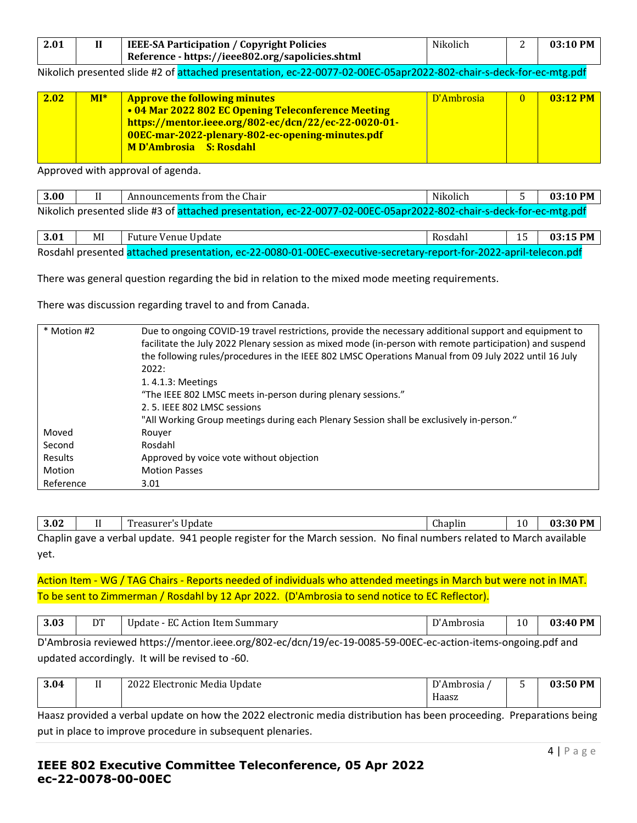| 2.01 | <b>IEEE-SA Participation / Copyright Policies</b> | Nikolich | 03:10 PM |
|------|---------------------------------------------------|----------|----------|
|      | Reference - https://ieee802.org/sapolicies.shtml  |          |          |

Nikolich presented slide #2 of attached presentation, ec-22-0077-02-00EC-05apr2022-802-chair-s-deck-for-ec-mtg.pdf

| 2.02 | $M1*$ | <b>Approve the following minutes</b><br>• 04 Mar 2022 802 EC Opening Teleconference Meeting<br>https://mentor.ieee.org/802-ec/dcn/22/ec-22-0020-01- | D'Ambrosia | $03:12$ PM |
|------|-------|-----------------------------------------------------------------------------------------------------------------------------------------------------|------------|------------|
|      |       | 00EC-mar-2022-plenary-802-ec-opening-minutes.pdf<br><b>MD'Ambrosia S: Rosdahl</b>                                                                   |            |            |

Approved with approval of agenda.

| 3.00                                                                                                               |  | Announcements from the Chair | Nikolich |  | $03:10$ PM $\parallel$ |
|--------------------------------------------------------------------------------------------------------------------|--|------------------------------|----------|--|------------------------|
| Nikolich presented slide #3 of attached presentation, ec-22-0077-02-00EC-05apr2022-802-chair-s-deck-for-ec-mtg.pdf |  |                              |          |  |                        |

| 3.01 | MI | Future Venue Update                                                                                               | Rosdahl | $15-1$ | $\vert$ 03:15 PM $\vert$ |
|------|----|-------------------------------------------------------------------------------------------------------------------|---------|--------|--------------------------|
|      |    | Rosdahl presented attached presentation, ec-22-0080-01-00EC-executive-secretary-report-for-2022-april-telecon.pdf |         |        |                          |

There was general question regarding the bid in relation to the mixed mode meeting requirements.

There was discussion regarding travel to and from Canada.

| * Motion #2 | Due to ongoing COVID-19 travel restrictions, provide the necessary additional support and equipment to   |
|-------------|----------------------------------------------------------------------------------------------------------|
|             | facilitate the July 2022 Plenary session as mixed mode (in-person with remote participation) and suspend |
|             | the following rules/procedures in the IEEE 802 LMSC Operations Manual from 09 July 2022 until 16 July    |
|             | 2022:                                                                                                    |
|             | 1.4.1.3: Meetings                                                                                        |
|             | "The IEEE 802 LMSC meets in-person during plenary sessions."                                             |
|             | 2.5. IEEE 802 LMSC sessions                                                                              |
|             | "All Working Group meetings during each Plenary Session shall be exclusively in-person."                 |
| Moved       | Rouver                                                                                                   |
| Second      | Rosdahl                                                                                                  |
| Results     | Approved by voice vote without objection                                                                 |
| Motion      | <b>Motion Passes</b>                                                                                     |
| Reference   | 3.01                                                                                                     |

| 200<br>3.UZ | -- | $\overline{\phantom{a}}$<br>Update<br>rogguror' |                          | $\sim$<br>Ihaplin | $\sqrt{2}$<br>.U<br>$\overline{\phantom{0}}$ | , PM<br>:30<br>Λ0 |
|-------------|----|-------------------------------------------------|--------------------------|-------------------|----------------------------------------------|-------------------|
|             |    |                                                 | <b>Contract Contract</b> |                   |                                              |                   |

Chaplin gave a verbal update. 941 people register for the March session. No final numbers related to March available yet.

Action Item - WG / TAG Chairs - Reports needed of individuals who attended meetings in March but were not in IMAT. To be sent to Zimmerman / Rosdahl by 12 Apr 2022. (D'Ambrosia to send notice to EC Reflector).

| 0.02<br><b>J.VJ</b> | n T<br>້ | $ -$<br>$\mathbf{a}$<br>.<br>Action Item Summary<br>Undate<br>. .<br>A,<br>74. | $\mathbf{D}$<br>'Ambrosia | 10 | <b>PM</b><br>94.U |
|---------------------|----------|--------------------------------------------------------------------------------|---------------------------|----|-------------------|
|---------------------|----------|--------------------------------------------------------------------------------|---------------------------|----|-------------------|

D'Ambrosia reviewed https://mentor.ieee.org/802-ec/dcn/19/ec-19-0085-59-00EC-ec-action-items-ongoing.pdf and updated accordingly. It will be revised to -60.

| 3.04 | $ -$<br> | 2022 Electronic Media Update | D'Ambrosia | ັ | 03:50 PM |
|------|----------|------------------------------|------------|---|----------|
|      |          |                              | Haasz      |   |          |

Haasz provided a verbal update on how the 2022 electronic media distribution has been proceeding. Preparations being put in place to improve procedure in subsequent plenaries.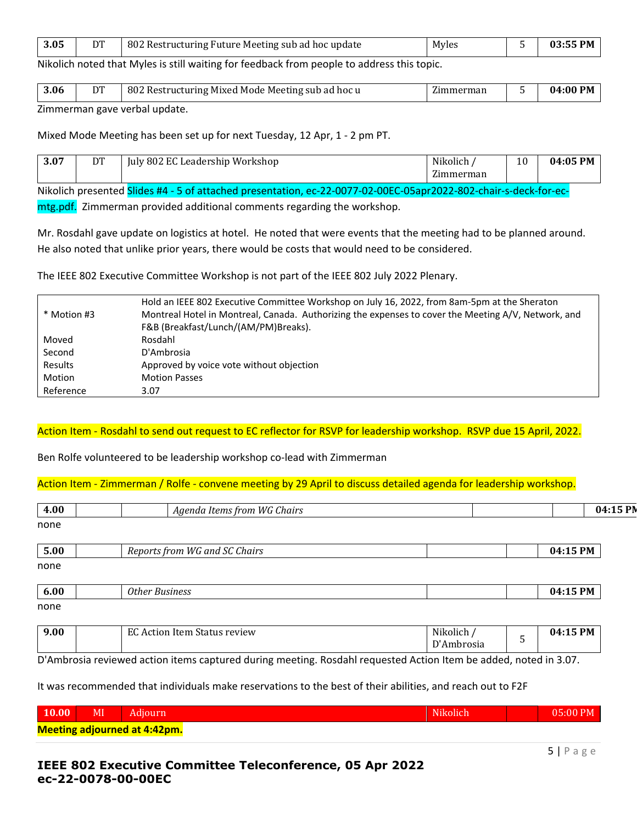| 3.05 | DT | 802 Restructuring Future Meeting sub ad hoc update | Myles |  | $03:55$ PM |
|------|----|----------------------------------------------------|-------|--|------------|
|------|----|----------------------------------------------------|-------|--|------------|

Nikolich noted that Myles is still waiting for feedback from people to address this topic.

| 3.06      | DT | 802 Restructuring Mixed Mode Meeting sub ad hoc u | Zimmerman | 04:00 PM |
|-----------|----|---------------------------------------------------|-----------|----------|
| $- \cdot$ |    |                                                   |           |          |

Zimmerman gave verbal update.

Mixed Mode Meeting has been set up for next Tuesday, 12 Apr, 1 - 2 pm PT.

| <b>007</b><br>u | DT | <b>TAT</b><br>BAI<br>Workshop<br>Leadership<br>802<br>lulv<br>ы.<br>n G | <br>Nikolich<br>$\sim$<br>merman | 10 | .05 PM<br>ባፊ |
|-----------------|----|-------------------------------------------------------------------------|----------------------------------|----|--------------|
|-----------------|----|-------------------------------------------------------------------------|----------------------------------|----|--------------|

Nikolich presented Slides #4 - 5 of attached presentation, ec-22-0077-02-00EC-05apr2022-802-chair-s-deck-for-ec-

mtg.pdf. Zimmerman provided additional comments regarding the workshop.

Mr. Rosdahl gave update on logistics at hotel. He noted that were events that the meeting had to be planned around. He also noted that unlike prior years, there would be costs that would need to be considered.

The IEEE 802 Executive Committee Workshop is not part of the IEEE 802 July 2022 Plenary.

|             | Hold an IEEE 802 Executive Committee Workshop on July 16, 2022, from 8am-5pm at the Sheraton        |
|-------------|-----------------------------------------------------------------------------------------------------|
| * Motion #3 | Montreal Hotel in Montreal, Canada. Authorizing the expenses to cover the Meeting A/V, Network, and |
|             | F&B (Breakfast/Lunch/(AM/PM)Breaks).                                                                |
| Moved       | Rosdahl                                                                                             |
| Second      | D'Ambrosia                                                                                          |
| Results     | Approved by voice vote without objection                                                            |
| Motion      | <b>Motion Passes</b>                                                                                |
| Reference   | 3.07                                                                                                |

### Action Item - Rosdahl to send out request to EC reflector for RSVP for leadership workshop. RSVP due 15 April, 2022.

Ben Rolfe volunteered to be leadership workshop co-lead with Zimmerman

Action Item - Zimmerman / Rolfe - convene meeting by 29 April to discuss detailed agenda for leadership workshop.

| Agenda Items from WG Chairs         |                          |   | 04:15 PN |
|-------------------------------------|--------------------------|---|----------|
|                                     |                          |   |          |
| Reports from WG and SC Chairs       |                          |   | 04:15 PM |
|                                     |                          |   |          |
| <b>Other Business</b>               |                          |   | 04:15 PM |
|                                     |                          |   |          |
| <b>EC Action Item Status review</b> | Nikolich /<br>D'Ambrosia | 5 | 04:15 PM |
|                                     |                          |   |          |

D'Ambrosia reviewed action items captured during meeting. Rosdahl requested Action Item be added, noted in 3.07.

It was recommended that individuals make reservations to the best of their abilities, and reach out to F2F

| 10.00                               | MI | Adiourn | Nikolich | $05:00$ PM |
|-------------------------------------|----|---------|----------|------------|
| <b>Meeting adjourned at 4:42pm.</b> |    |         |          |            |